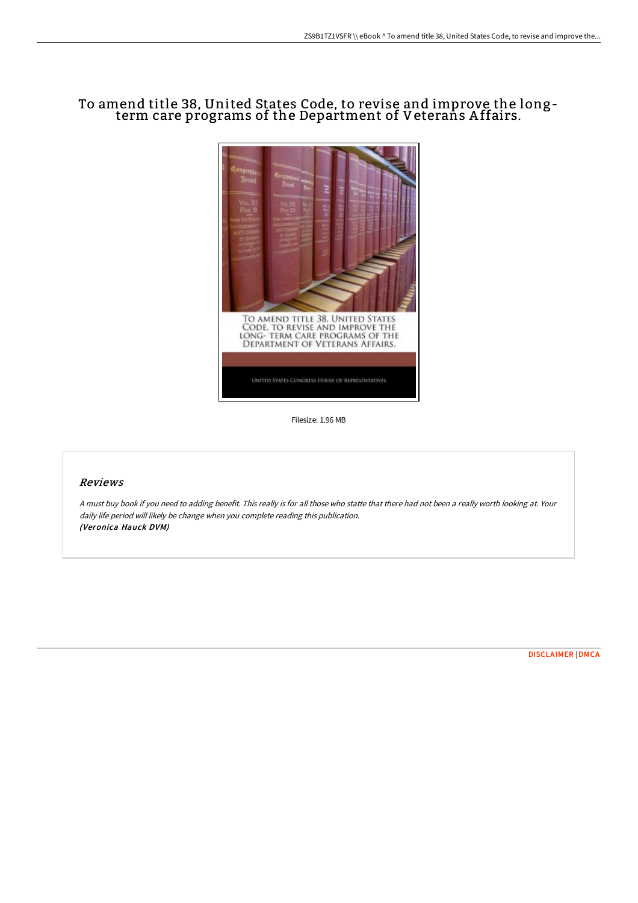## To amend title 38, United States Code, to revise and improve the longterm care programs of the Department of Veterans A ffairs.



Filesize: 1.96 MB

## Reviews

<sup>A</sup> must buy book if you need to adding benefit. This really is for all those who statte that there had not been <sup>a</sup> really worth looking at. Your daily life period will likely be change when you complete reading this publication. (Veronica Hauck DVM)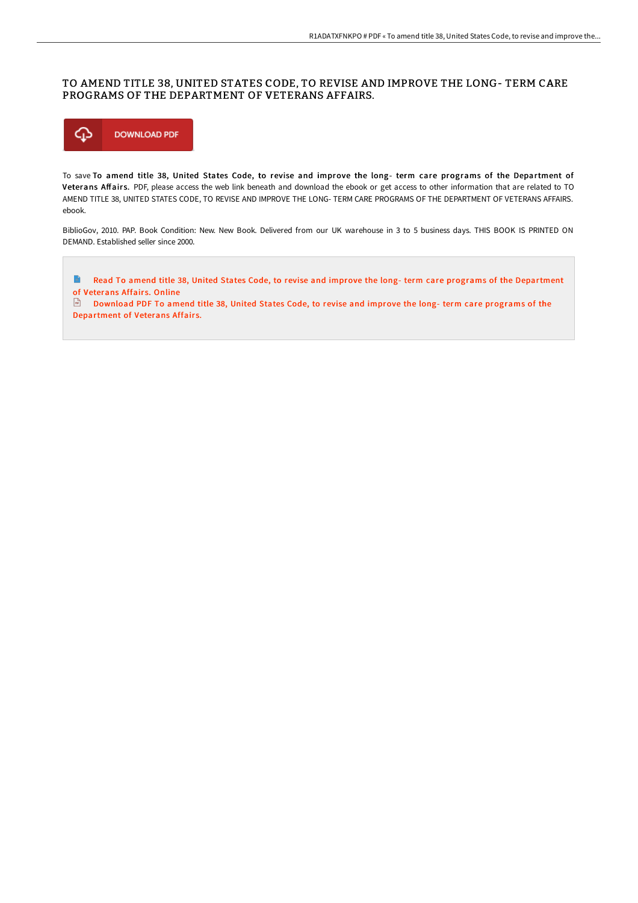## TO AMEND TITLE 38, UNITED STATES CODE, TO REVISE AND IMPROVE THE LONG- TERM CARE PROGRAMS OF THE DEPARTMENT OF VETERANS AFFAIRS.



To save To amend title 38, United States Code, to revise and improve the long- term care programs of the Department of Veterans Affairs. PDF, please access the web link beneath and download the ebook or get access to other information that are related to TO AMEND TITLE 38, UNITED STATES CODE, TO REVISE AND IMPROVE THE LONG- TERM CARE PROGRAMS OF THE DEPARTMENT OF VETERANS AFFAIRS. ebook.

BiblioGov, 2010. PAP. Book Condition: New. New Book. Delivered from our UK warehouse in 3 to 5 business days. THIS BOOK IS PRINTED ON DEMAND. Established seller since 2000.